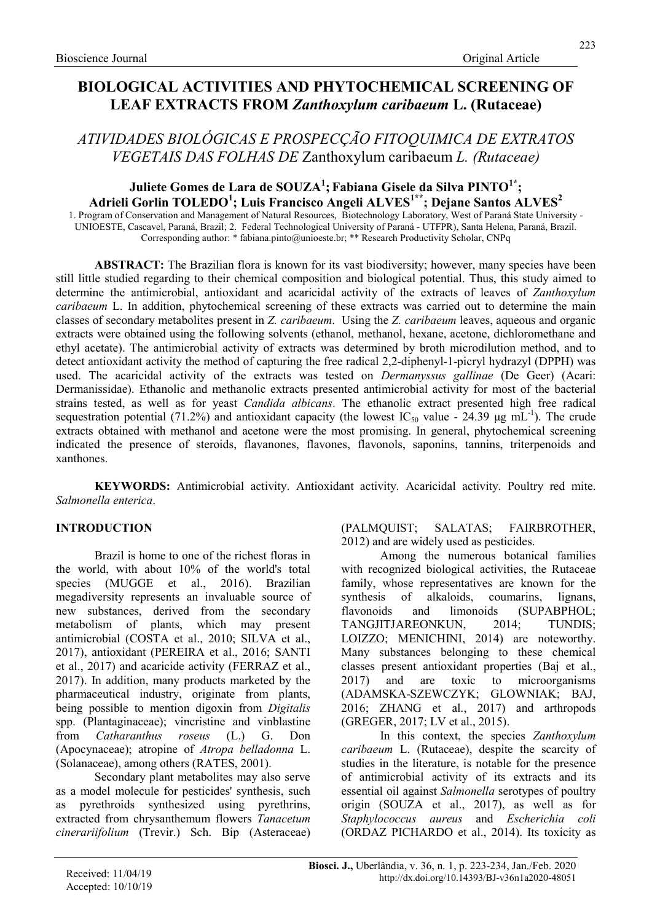# ATIVIDADES BIOLÓGICAS E PROSPECÇÃO FITOQUIMICA DE EXTRATOS VEGETAIS DAS FOLHAS DE Zanthoxylum caribaeum L. (Rutaceae)

## Juliete Gomes de Lara de SOUZA $^1$ ; Fabiana Gisele da Silva PINTO $^{1^\ast}\!;$ Adrieli Gorlin TOLEDO $^1$ ; Luis Francisco Angeli ALVES $^{1**}$ ; Dejane Santos ALVES $^2$

1. Program of Conservation and Management of Natural Resources, Biotechnology Laboratory, West of Paraná State University - UNIOESTE, Cascavel, Paraná, Brazil; 2. Federal Technological University of Paraná - UTFPR), Santa Helena, Paraná, Brazil. Corresponding author: \* fabiana.pinto@unioeste.br; \*\* Research Productivity Scholar, CNPq

ABSTRACT: The Brazilian flora is known for its vast biodiversity; however, many species have been still little studied regarding to their chemical composition and biological potential. Thus, this study aimed to determine the antimicrobial, antioxidant and acaricidal activity of the extracts of leaves of Zanthoxylum caribaeum L. In addition, phytochemical screening of these extracts was carried out to determine the main classes of secondary metabolites present in Z. caribaeum. Using the Z. caribaeum leaves, aqueous and organic extracts were obtained using the following solvents (ethanol, methanol, hexane, acetone, dichloromethane and ethyl acetate). The antimicrobial activity of extracts was determined by broth microdilution method, and to detect antioxidant activity the method of capturing the free radical 2,2-diphenyl-1-picryl hydrazyl (DPPH) was used. The acaricidal activity of the extracts was tested on Dermanyssus gallinae (De Geer) (Acari: Dermanissidae). Ethanolic and methanolic extracts presented antimicrobial activity for most of the bacterial strains tested, as well as for yeast Candida albicans. The ethanolic extract presented high free radical sequestration potential (71.2%) and antioxidant capacity (the lowest IC<sub>50</sub> value - 24.39 μg mL<sup>-1</sup>). The crude extracts obtained with methanol and acetone were the most promising. In general, phytochemical screening indicated the presence of steroids, flavanones, flavones, flavonols, saponins, tannins, triterpenoids and xanthones.

KEYWORDS: Antimicrobial activity. Antioxidant activity. Acaricidal activity. Poultry red mite. Salmonella enterica.

#### INTRODUCTION

Brazil is home to one of the richest floras in the world, with about 10% of the world's total species (MUGGE et al., 2016). Brazilian megadiversity represents an invaluable source of new substances, derived from the secondary metabolism of plants, which may present antimicrobial (COSTA et al., 2010; SILVA et al., 2017), antioxidant (PEREIRA et al., 2016; SANTI et al., 2017) and acaricide activity (FERRAZ et al., 2017). In addition, many products marketed by the pharmaceutical industry, originate from plants, being possible to mention digoxin from Digitalis spp. (Plantaginaceae); vincristine and vinblastine from Catharanthus roseus (L.) G. Don (Apocynaceae); atropine of Atropa belladonna L. (Solanaceae), among others (RATES, 2001).

Secondary plant metabolites may also serve as a model molecule for pesticides' synthesis, such pyrethroids synthesized using pyrethrins, extracted from chrysanthemum flowers Tanacetum cinerariifolium (Trevir.) Sch. Bip (Asteraceae) (PALMQUIST; SALATAS; FAIRBROTHER, 2012) and are widely used as pesticides.

Among the numerous botanical families with recognized biological activities, the Rutaceae family, whose representatives are known for the synthesis of alkaloids, coumarins, lignans, flavonoids and limonoids (SUPABPHOL; TANGJITJAREONKUN, 2014; TUNDIS; LOIZZO; MENICHINI, 2014) are noteworthy. Many substances belonging to these chemical classes present antioxidant properties (Baj et al., 2017) and are toxic to microorganisms (ADAMSKA-SZEWCZYK; GLOWNIAK; BAJ, 2016; ZHANG et al., 2017) and arthropods (GREGER, 2017; LV et al., 2015).

In this context, the species Zanthoxylum caribaeum L. (Rutaceae), despite the scarcity of studies in the literature, is notable for the presence of antimicrobial activity of its extracts and its essential oil against Salmonella serotypes of poultry origin (SOUZA et al., 2017), as well as for Staphylococcus aureus and Escherichia coli (ORDAZ PICHARDO et al., 2014). Its toxicity as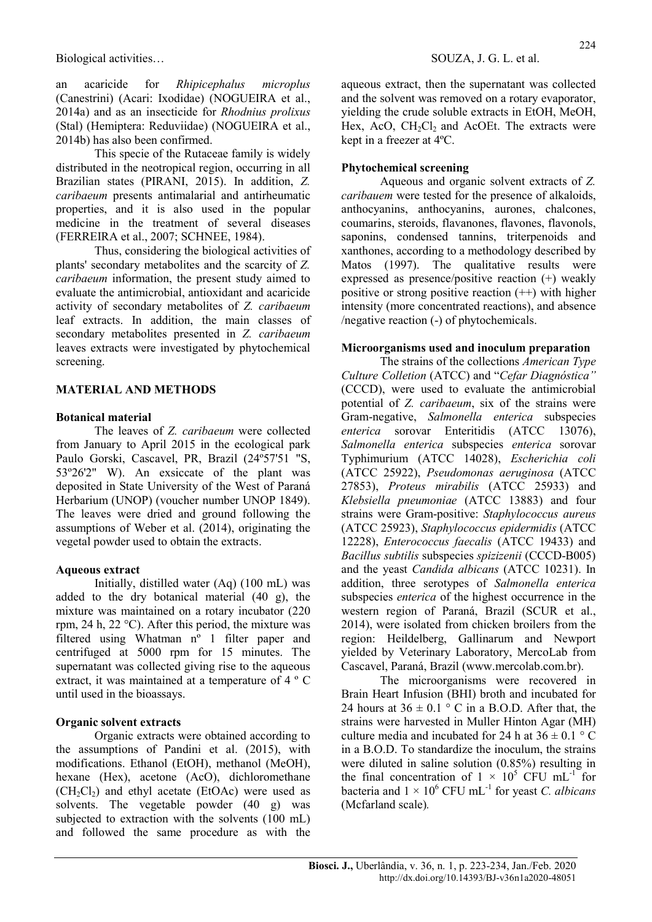an acaricide for Rhipicephalus microplus (Canestrini) (Acari: Ixodidae) (NOGUEIRA et al., 2014a) and as an insecticide for Rhodnius prolixus (Stal) (Hemiptera: Reduviidae) (NOGUEIRA et al., 2014b) has also been confirmed.

This specie of the Rutaceae family is widely distributed in the neotropical region, occurring in all Brazilian states (PIRANI, 2015). In addition, Z. caribaeum presents antimalarial and antirheumatic properties, and it is also used in the popular medicine in the treatment of several diseases (FERREIRA et al., 2007; SCHNEE, 1984).

Thus, considering the biological activities of plants' secondary metabolites and the scarcity of Z. caribaeum information, the present study aimed to evaluate the antimicrobial, antioxidant and acaricide activity of secondary metabolites of Z. caribaeum leaf extracts. In addition, the main classes of secondary metabolites presented in Z. caribaeum leaves extracts were investigated by phytochemical screening.

## MATERIAL AND METHODS

#### Botanical material

The leaves of Z. caribaeum were collected from January to April 2015 in the ecological park Paulo Gorski, Cascavel, PR, Brazil (24º57'51 "S, 53º26'2" W). An exsiccate of the plant was deposited in State University of the West of Paraná Herbarium (UNOP) (voucher number UNOP 1849). The leaves were dried and ground following the assumptions of Weber et al. (2014), originating the vegetal powder used to obtain the extracts.

#### Aqueous extract

Initially, distilled water (Aq) (100 mL) was added to the dry botanical material (40 g), the mixture was maintained on a rotary incubator (220 rpm, 24 h, 22 °C). After this period, the mixture was filtered using Whatman nº 1 filter paper and centrifuged at 5000 rpm for 15 minutes. The supernatant was collected giving rise to the aqueous extract, it was maintained at a temperature of 4 º C until used in the bioassays.

## Organic solvent extracts

Organic extracts were obtained according to the assumptions of Pandini et al. (2015), with modifications. Ethanol (EtOH), methanol (MeOH), hexane (Hex), acetone (AcO), dichloromethane  $(CH_2Cl_2)$  and ethyl acetate (EtOAc) were used as solvents. The vegetable powder (40 g) was subjected to extraction with the solvents (100 mL) and followed the same procedure as with the aqueous extract, then the supernatant was collected and the solvent was removed on a rotary evaporator, yielding the crude soluble extracts in EtOH, MeOH, Hex, AcO,  $CH_2Cl_2$  and AcOEt. The extracts were kept in a freezer at 4ºC.

## Phytochemical screening

Aqueous and organic solvent extracts of Z. caribauem were tested for the presence of alkaloids, anthocyanins, anthocyanins, aurones, chalcones, coumarins, steroids, flavanones, flavones, flavonols, saponins, condensed tannins, triterpenoids and xanthones, according to a methodology described by Matos (1997). The qualitative results were expressed as presence/positive reaction (+) weakly positive or strong positive reaction (++) with higher intensity (more concentrated reactions), and absence /negative reaction (-) of phytochemicals.

#### Microorganisms used and inoculum preparation

The strains of the collections American Type Culture Colletion (ATCC) and "Cefar Diagnóstica" (CCCD), were used to evaluate the antimicrobial potential of Z. caribaeum, six of the strains were Gram-negative, Salmonella enterica subspecies enterica sorovar Enteritidis (ATCC 13076), Salmonella enterica subspecies enterica sorovar Typhimurium (ATCC 14028), Escherichia coli (ATCC 25922), Pseudomonas aeruginosa (ATCC 27853), Proteus mirabilis (ATCC 25933) and Klebsiella pneumoniae (ATCC 13883) and four strains were Gram-positive: Staphylococcus aureus (ATCC 25923), Staphylococcus epidermidis (ATCC 12228), Enterococcus faecalis (ATCC 19433) and Bacillus subtilis subspecies spizizenii (CCCD-B005) and the yeast Candida albicans (ATCC 10231). In addition, three serotypes of Salmonella enterica subspecies *enterica* of the highest occurrence in the western region of Paraná, Brazil (SCUR et al., 2014), were isolated from chicken broilers from the region: Heildelberg, Gallinarum and Newport yielded by Veterinary Laboratory, MercoLab from Cascavel, Paraná, Brazil (www.mercolab.com.br).

The microorganisms were recovered in Brain Heart Infusion (BHI) broth and incubated for 24 hours at  $36 \pm 0.1$  ° C in a B.O.D. After that, the strains were harvested in Muller Hinton Agar (MH) culture media and incubated for 24 h at  $36 \pm 0.1$  ° C in a B.O.D. To standardize the inoculum, the strains were diluted in saline solution (0.85%) resulting in the final concentration of  $1 \times 10^5$  CFU mL<sup>-1</sup> for bacteria and  $1 \times 10^6$  CFU mL<sup>-1</sup> for yeast *C. albicans* (Mcfarland scale).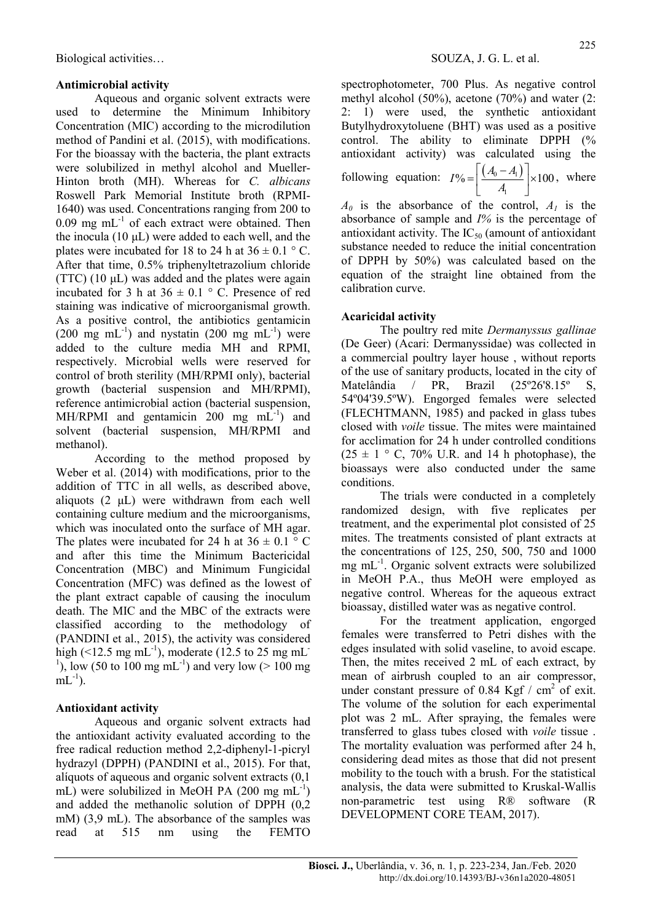## Antimicrobial activity

Aqueous and organic solvent extracts were used to determine the Minimum Inhibitory Concentration (MIC) according to the microdilution method of Pandini et al. (2015), with modifications. For the bioassay with the bacteria, the plant extracts were solubilized in methyl alcohol and Mueller-Hinton broth (MH). Whereas for C. albicans Roswell Park Memorial Institute broth (RPMI-1640) was used. Concentrations ranging from 200 to  $0.09$  mg mL<sup>-1</sup> of each extract were obtained. Then the inocula (10 μL) were added to each well, and the plates were incubated for 18 to 24 h at  $36 \pm 0.1$  ° C. After that time, 0.5% triphenyltetrazolium chloride (TTC)  $(10 \mu L)$  was added and the plates were again incubated for 3 h at  $36 \pm 0.1$  ° C. Presence of red staining was indicative of microorganismal growth. As a positive control, the antibiotics gentamicin  $(200 \text{ mg } \text{mL}^{-1})$  and nystatin  $(200 \text{ mg } \text{mL}^{-1})$  were added to the culture media MH and RPMI, respectively. Microbial wells were reserved for control of broth sterility (MH/RPMI only), bacterial growth (bacterial suspension and MH/RPMI), reference antimicrobial action (bacterial suspension, MH/RPMI and gentamic n 200 mg  $mL^{-1}$  and solvent (bacterial suspension, MH/RPMI and methanol).

According to the method proposed by Weber et al. (2014) with modifications, prior to the addition of TTC in all wells, as described above, aliquots (2 μL) were withdrawn from each well containing culture medium and the microorganisms, which was inoculated onto the surface of MH agar. The plates were incubated for 24 h at  $36 \pm 0.1$  ° C and after this time the Minimum Bactericidal Concentration (MBC) and Minimum Fungicidal Concentration (MFC) was defined as the lowest of the plant extract capable of causing the inoculum death. The MIC and the MBC of the extracts were classified according to the methodology of (PANDINI et al., 2015), the activity was considered high ( $\leq$ 12.5 mg mL<sup>-1</sup>), moderate (12.5 to 25 mg mL<sup>-1</sup>) <sup>1</sup>), low (50 to 100 mg mL<sup>-1</sup>) and very low ( $> 100$  mg  $mL^{-1}$ ).

## Antioxidant activity

Aqueous and organic solvent extracts had the antioxidant activity evaluated according to the free radical reduction method 2,2-diphenyl-1-picryl hydrazyl (DPPH) (PANDINI et al., 2015). For that, alíquots of aqueous and organic solvent extracts (0,1 mL) were solubilized in MeOH PA  $(200 \text{ mg } \text{mL}^{-1})$ and added the methanolic solution of DPPH (0,2 mM) (3,9 mL). The absorbance of the samples was read at 515 nm using the FEMTO

spectrophotometer, 700 Plus. As negative control methyl alcohol (50%), acetone (70%) and water (2: 2: 1) were used, the synthetic antioxidant Butylhydroxytoluene (BHT) was used as a positive control. The ability to eliminate DPPH (% antioxidant activity) was calculated using the following equation:  $I\% = \left| \frac{(A_0 - A_1)}{A_0} \right| \times 100$ , where 1  $I\% = \left[ \frac{(A_0 - A_1)}{4} \right] \times 100$  $A_{1}$  $=\left[\frac{(A_0 - A_1)}{A_1}\right] \times 100$ , where  $A_0$  is the absorbance of the control,  $A_1$  is the

absorbance of sample and I% is the percentage of antioxidant activity. The  $IC_{50}$  (amount of antioxidant substance needed to reduce the initial concentration of DPPH by 50%) was calculated based on the equation of the straight line obtained from the calibration curve.

## Acaricidal activity

The poultry red mite Dermanyssus gallinae (De Geer) (Acari: Dermanyssidae) was collected in a commercial poultry layer house , without reports of the use of sanitary products, located in the city of Matelândia / PR, Brazil (25º26'8.15º S, 54º04'39.5ºW). Engorged females were selected (FLECHTMANN, 1985) and packed in glass tubes closed with voile tissue. The mites were maintained for acclimation for 24 h under controlled conditions  $(25 \pm 1$  ° C, 70% U.R. and 14 h photophase), the bioassays were also conducted under the same conditions.

The trials were conducted in a completely randomized design, with five replicates per treatment, and the experimental plot consisted of 25 mites. The treatments consisted of plant extracts at the concentrations of 125, 250, 500, 750 and 1000 mg mL<sup>-1</sup>. Organic solvent extracts were solubilized in MeOH P.A., thus MeOH were employed as negative control. Whereas for the aqueous extract bioassay, distilled water was as negative control.

For the treatment application, engorged females were transferred to Petri dishes with the edges insulated with solid vaseline, to avoid escape. Then, the mites received 2 mL of each extract, by mean of airbrush coupled to an air compressor, under constant pressure of 0.84 Kgf /  $cm<sup>2</sup>$  of exit. The volume of the solution for each experimental plot was 2 mL. After spraying, the females were transferred to glass tubes closed with voile tissue . The mortality evaluation was performed after 24 h, considering dead mites as those that did not present mobility to the touch with a brush. For the statistical analysis, the data were submitted to Kruskal-Wallis non-parametric test using R® software (R DEVELOPMENT CORE TEAM, 2017).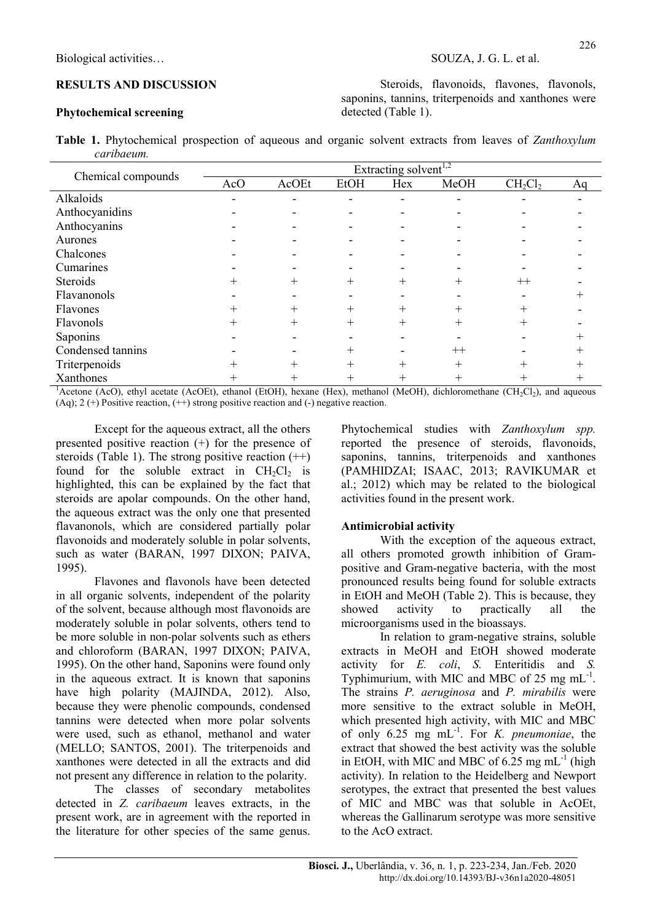## RESULTS AND DISCUSSION

#### Phytochemical screening

Steroids, flavonoids, flavones, flavonols, saponins, tannins, triterpenoids and xanthones were detected (Table 1).

Table 1. Phytochemical prospection of aqueous and organic solvent extracts from leaves of Zanthoxylum caribaeum.

| Chemical compounds | Extracting solvent <sup>1,2</sup> |       |           |                |           |            |    |
|--------------------|-----------------------------------|-------|-----------|----------------|-----------|------------|----|
|                    | AcO                               | AcOEt | EtOH      | Hex            | MeOH      | $CH_2Cl_2$ | Aq |
| Alkaloids          |                                   |       |           |                |           |            |    |
| Anthocyanidins     |                                   |       |           |                |           |            |    |
| Anthocyanins       |                                   |       |           |                |           |            |    |
| Aurones            |                                   |       |           |                |           |            |    |
| Chalcones          |                                   |       |           |                |           |            |    |
| Cumarines          |                                   |       |           |                |           |            |    |
| Steroids           |                                   |       | $\, + \,$ |                | $\, + \,$ | $^{++}$    |    |
| Flavanonols        |                                   |       |           |                |           |            |    |
| Flavones           |                                   |       |           |                |           |            |    |
| Flavonols          |                                   |       | $^+$      | $\overline{+}$ | $^{+}$    |            |    |
| Saponins           |                                   |       |           |                |           |            |    |
| Condensed tannins  |                                   |       | $\, + \,$ |                | $++$      |            |    |
| Triterpenoids      |                                   |       |           |                | $\pm$     |            |    |
| Xanthones          |                                   |       |           |                |           |            |    |

<sup>1</sup>Acetone (AcO), ethyl acetate (AcOEt), ethanol (EtOH), hexane (Hex), methanol (MeOH), dichloromethane (CH<sub>2</sub>Cl<sub>2</sub>), and aqueous  $(Aq)$ ;  $2 (+)$  Positive reaction,  $(+)$  strong positive reaction and  $(-)$  negative reaction.

Except for the aqueous extract, all the others presented positive reaction (+) for the presence of steroids (Table 1). The strong positive reaction  $(++)$ found for the soluble extract in  $CH_2Cl_2$  is highlighted, this can be explained by the fact that steroids are apolar compounds. On the other hand, the aqueous extract was the only one that presented flavanonols, which are considered partially polar flavonoids and moderately soluble in polar solvents, such as water (BARAN, 1997 DIXON; PAIVA, 1995).

Flavones and flavonols have been detected in all organic solvents, independent of the polarity of the solvent, because although most flavonoids are moderately soluble in polar solvents, others tend to be more soluble in non-polar solvents such as ethers and chloroform (BARAN, 1997 DIXON; PAIVA, 1995). On the other hand, Saponins were found only in the aqueous extract. It is known that saponins have high polarity (MAJINDA, 2012). Also, because they were phenolic compounds, condensed tannins were detected when more polar solvents were used, such as ethanol, methanol and water (MELLO; SANTOS, 2001). The triterpenoids and xanthones were detected in all the extracts and did not present any difference in relation to the polarity.

The classes of secondary metabolites detected in Z. caribaeum leaves extracts, in the present work, are in agreement with the reported in the literature for other species of the same genus.

Phytochemical studies with Zanthoxylum spp. reported the presence of steroids, flavonoids, saponins, tannins, triterpenoids and xanthones (PAMHIDZAI; ISAAC, 2013; RAVIKUMAR et al.; 2012) which may be related to the biological activities found in the present work.

#### Antimicrobial activity

With the exception of the aqueous extract, all others promoted growth inhibition of Grampositive and Gram-negative bacteria, with the most pronounced results being found for soluble extracts in EtOH and MeOH (Table 2). This is because, they showed activity to practically all the microorganisms used in the bioassays.

In relation to gram-negative strains, soluble extracts in MeOH and EtOH showed moderate activity for E. coli, S. Enteritidis and S. Typhimurium, with MIC and MBC of 25 mg  $mL^{-1}$ . The strains P. aeruginosa and P. mirabilis were more sensitive to the extract soluble in MeOH, which presented high activity, with MIC and MBC of only 6.25 mg  $mL^{-1}$ . For K. pneumoniae, the extract that showed the best activity was the soluble in EtOH, with MIC and MBC of  $6.25$  mg mL<sup>-1</sup> (high activity). In relation to the Heidelberg and Newport serotypes, the extract that presented the best values of MIC and MBC was that soluble in AcOEt, whereas the Gallinarum serotype was more sensitive to the AcO extract.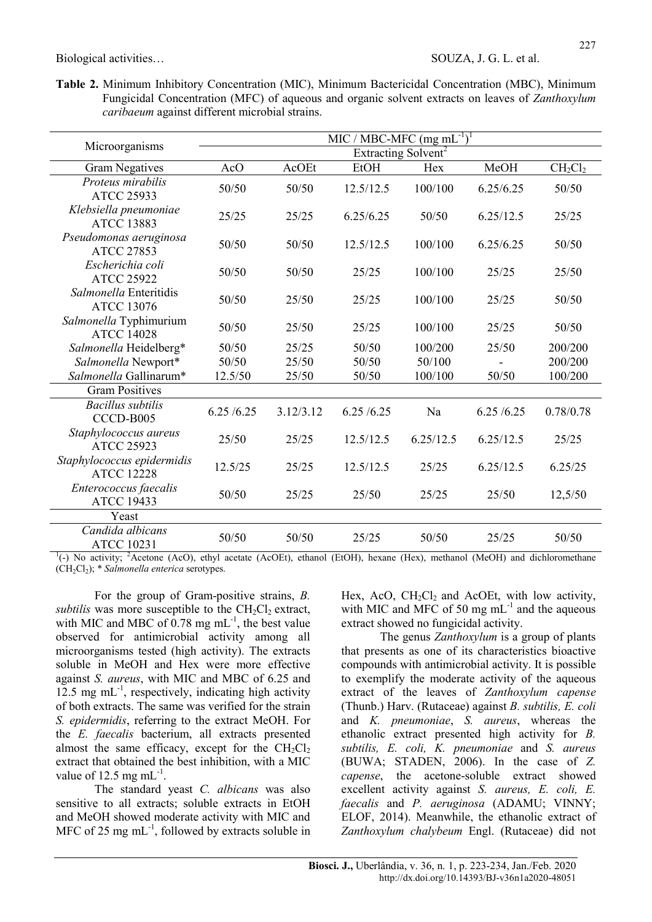Table 2. Minimum Inhibitory Concentration (MIC), Minimum Bactericidal Concentration (MBC), Minimum Fungicidal Concentration (MFC) of aqueous and organic solvent extracts on leaves of Zanthoxylum caribaeum against different microbial strains.

|                                                 |           |           | MIC / MBC-MFC $(mg mL^{-1})^1$ |                                 |           |            |
|-------------------------------------------------|-----------|-----------|--------------------------------|---------------------------------|-----------|------------|
| Microorganisms                                  |           |           |                                | Extracting Solvent <sup>2</sup> |           |            |
| <b>Gram Negatives</b>                           | AcO       | AcOEt     | <b>EtOH</b>                    | Hex                             | MeOH      | $CH_2Cl_2$ |
| Proteus mirabilis<br><b>ATCC 25933</b>          | 50/50     | 50/50     | 12.5/12.5                      | 100/100                         | 6.25/6.25 | 50/50      |
| Klebsiella pneumoniae<br><b>ATCC 13883</b>      | 25/25     | 25/25     | 6.25/6.25                      | 50/50                           | 6.25/12.5 | 25/25      |
| Pseudomonas aeruginosa<br><b>ATCC 27853</b>     | 50/50     | 50/50     | 12.5/12.5                      | 100/100                         | 6.25/6.25 | 50/50      |
| Escherichia coli<br><b>ATCC 25922</b>           | 50/50     | 50/50     | 25/25                          | 100/100                         | 25/25     | 25/50      |
| Salmonella Enteritidis<br><b>ATCC 13076</b>     | 50/50     | 25/50     | 25/25                          | 100/100                         | 25/25     | 50/50      |
| Salmonella Typhimurium<br><b>ATCC 14028</b>     | 50/50     | 25/50     | 25/25                          | 100/100                         | 25/25     | 50/50      |
| Salmonella Heidelberg*                          | 50/50     | 25/25     | 50/50                          | 100/200                         | 25/50     | 200/200    |
| Salmonella Newport*                             | 50/50     | 25/50     | 50/50                          | 50/100                          |           | 200/200    |
| Salmonella Gallinarum*                          | 12.5/50   | 25/50     | 50/50                          | 100/100                         | 50/50     | 100/200    |
| <b>Gram Positives</b>                           |           |           |                                |                                 |           |            |
| <b>Bacillus</b> subtilis<br>CCCD-B005           | 6.25/6.25 | 3.12/3.12 | 6.25/6.25                      | Na                              | 6.25/6.25 | 0.78/0.78  |
| Staphylococcus aureus<br><b>ATCC 25923</b>      | 25/50     | 25/25     | 12.5/12.5                      | 6.25/12.5                       | 6.25/12.5 | 25/25      |
| Staphylococcus epidermidis<br><b>ATCC 12228</b> | 12.5/25   | 25/25     | 12.5/12.5                      | 25/25                           | 6.25/12.5 | 6.25/25    |
| Enterococcus faecalis<br><b>ATCC 19433</b>      | 50/50     | 25/25     | 25/50                          | 25/25                           | 25/50     | 12,5/50    |
| Yeast                                           |           |           |                                |                                 |           |            |
| Candida albicans<br><b>ATCC 10231</b>           | 50/50     | 50/50     | 25/25                          | 50/50                           | 25/25     | 50/50      |

 $1$ (-) No activity; <sup>2</sup>Acetone (AcO), ethyl acetate (AcOEt), ethanol (EtOH), hexane (Hex), methanol (MeOH) and dichloromethane (CH<sub>2</sub>Cl<sub>2</sub>); \* Salmonella enterica serotypes.

For the group of Gram-positive strains, B. subtilis was more susceptible to the  $CH_2Cl_2$  extract, with MIC and MBC of  $0.78$  mg mL<sup>-1</sup>, the best value observed for antimicrobial activity among all microorganisms tested (high activity). The extracts soluble in MeOH and Hex were more effective against S. aureus, with MIC and MBC of 6.25 and 12.5 mg  $mL^{-1}$ , respectively, indicating high activity of both extracts. The same was verified for the strain S. epidermidis, referring to the extract MeOH. For the E. faecalis bacterium, all extracts presented almost the same efficacy, except for the  $CH_2Cl_2$ extract that obtained the best inhibition, with a MIC value of 12.5 mg m $L^{-1}$ .

The standard yeast C. albicans was also sensitive to all extracts; soluble extracts in EtOH and MeOH showed moderate activity with MIC and MFC of 25 mg  $mL^{-1}$ , followed by extracts soluble in Hex, AcO,  $CH_2Cl_2$  and AcOEt, with low activity, with MIC and MFC of 50 mg  $mL^{-1}$  and the aqueous extract showed no fungicidal activity.

The genus Zanthoxylum is a group of plants that presents as one of its characteristics bioactive compounds with antimicrobial activity. It is possible to exemplify the moderate activity of the aqueous extract of the leaves of Zanthoxylum capense (Thunb.) Harv. (Rutaceae) against B. subtilis, E. coli and K. pneumoniae, S. aureus, whereas the ethanolic extract presented high activity for B. subtilis, E. coli, K. pneumoniae and S. aureus (BUWA; STADEN, 2006). In the case of Z. capense, the acetone-soluble extract showed excellent activity against S. aureus, E. coli, E. faecalis and P. aeruginosa (ADAMU; VINNY; ELOF, 2014). Meanwhile, the ethanolic extract of Zanthoxylum chalybeum Engl. (Rutaceae) did not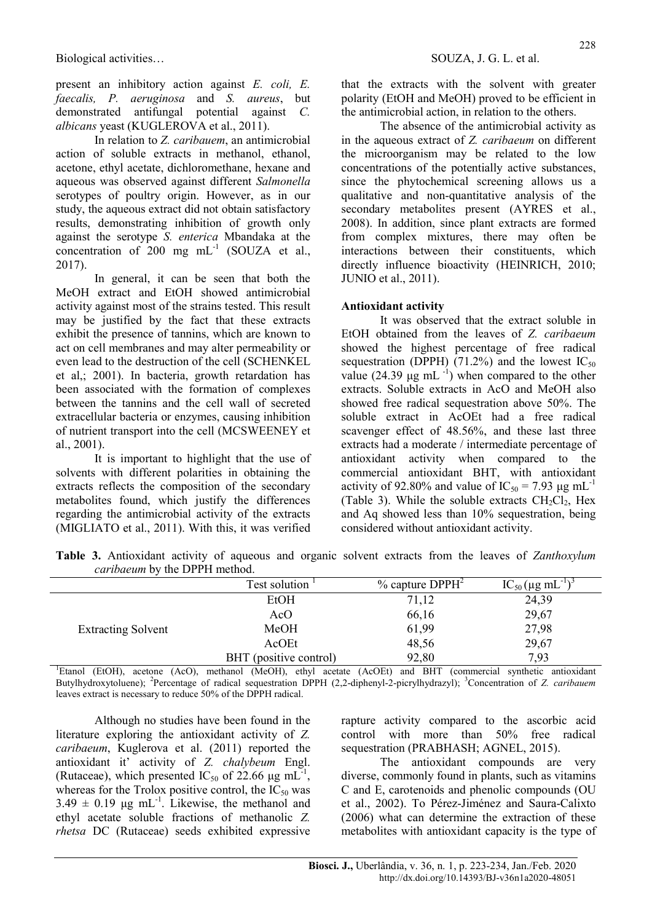present an inhibitory action against E. coli, E. faecalis, P. aeruginosa and S. aureus, but demonstrated antifungal potential against C. albicans yeast (KUGLEROVA et al., 2011).

In relation to Z. caribauem, an antimicrobial action of soluble extracts in methanol, ethanol, acetone, ethyl acetate, dichloromethane, hexane and aqueous was observed against different Salmonella serotypes of poultry origin. However, as in our study, the aqueous extract did not obtain satisfactory results, demonstrating inhibition of growth only against the serotype S. enterica Mbandaka at the concentration of  $200$  mg mL<sup>-1</sup> (SOUZA et al., 2017).

In general, it can be seen that both the MeOH extract and EtOH showed antimicrobial activity against most of the strains tested. This result may be justified by the fact that these extracts exhibit the presence of tannins, which are known to act on cell membranes and may alter permeability or even lead to the destruction of the cell (SCHENKEL et al,; 2001). In bacteria, growth retardation has been associated with the formation of complexes between the tannins and the cell wall of secreted extracellular bacteria or enzymes, causing inhibition of nutrient transport into the cell (MCSWEENEY et al., 2001).

It is important to highlight that the use of solvents with different polarities in obtaining the extracts reflects the composition of the secondary metabolites found, which justify the differences regarding the antimicrobial activity of the extracts (MIGLIATO et al., 2011). With this, it was verified that the extracts with the solvent with greater polarity (EtOH and MeOH) proved to be efficient in the antimicrobial action, in relation to the others.

The absence of the antimicrobial activity as in the aqueous extract of Z. caribaeum on different the microorganism may be related to the low concentrations of the potentially active substances, since the phytochemical screening allows us a qualitative and non-quantitative analysis of the secondary metabolites present (AYRES et al., 2008). In addition, since plant extracts are formed from complex mixtures, there may often be interactions between their constituents, which directly influence bioactivity (HEINRICH, 2010; JUNIO et al., 2011).

#### Antioxidant activity

It was observed that the extract soluble in EtOH obtained from the leaves of Z. caribaeum showed the highest percentage of free radical sequestration (DPPH)  $(71.2%)$  and the lowest IC<sub>50</sub> value (24.39 μg mL $^{-1}$ ) when compared to the other extracts. Soluble extracts in AcO and MeOH also showed free radical sequestration above 50%. The soluble extract in AcOEt had a free radical scavenger effect of 48.56%, and these last three extracts had a moderate / intermediate percentage of antioxidant activity when compared to the commercial antioxidant BHT, with antioxidant activity of 92.80% and value of  $IC_{50} = 7.93 \mu g \text{ mL}^{-1}$ (Table 3). While the soluble extracts  $CH_2Cl_2$ , Hex and Aq showed less than 10% sequestration, being considered without antioxidant activity.

Table 3. Antioxidant activity of aqueous and organic solvent extracts from the leaves of Zanthoxylum caribaeum by the DPPH method.

|                                                   | Test solution                                                                 | $\%$ capture DPPH <sup>2</sup> | $IC_{50} (\mu g \text{ mL}^{-1})^3$ |
|---------------------------------------------------|-------------------------------------------------------------------------------|--------------------------------|-------------------------------------|
|                                                   | <b>EtOH</b>                                                                   | 71,12                          | 24,39                               |
| <b>Extracting Solvent</b>                         | AcO                                                                           | 66,16                          | 29,67                               |
|                                                   | MeOH                                                                          | 61,99                          | 27,98                               |
|                                                   | $Ac$ OEt                                                                      | 48,56                          | 29,67                               |
|                                                   | BHT (positive control)                                                        | 92,80                          | 7.93                                |
| $\mathbf{m}$<br>$(T, \bigcap_{i} T)$<br>$(1 - C)$ | $1 \quad (3.5)$ $\cap$ $T$<br>$\mathbf{1}$<br>$\sqrt{1 + \alpha}$<br>$\sim$ 1 | DID                            | $\mathbf{1}$                        |

<sup>1</sup>Etanol (EtOH), acetone (AcO), methanol (MeOH), ethyl acetate (AcOEt) and BHT (commercial synthetic antioxidant Butylhydroxytoluene); <sup>2</sup>Percentage of radical sequestration DPPH (2,2-diphenyl-2-picrylhydrazyl); <sup>3</sup>Concentration of Z. caribauem leaves extract is necessary to reduce 50% of the DPPH radical.

Although no studies have been found in the literature exploring the antioxidant activity of Z. caribaeum, Kuglerova et al. (2011) reported the antioxidant it' activity of Z. chalybeum Engl. (Rutaceae), which presented IC<sub>50</sub> of 22.66  $\mu$ g mL<sup>-1</sup>, whereas for the Trolox positive control, the  $IC_{50}$  was  $3.49 \pm 0.19$  μg mL<sup>-1</sup>. Likewise, the methanol and ethyl acetate soluble fractions of methanolic Z. rhetsa DC (Rutaceae) seeds exhibited expressive

rapture activity compared to the ascorbic acid control with more than 50% free radical sequestration (PRABHASH; AGNEL, 2015).

The antioxidant compounds are very diverse, commonly found in plants, such as vitamins C and E, carotenoids and phenolic compounds (OU et al., 2002). To Pérez-Jiménez and Saura-Calixto (2006) what can determine the extraction of these metabolites with antioxidant capacity is the type of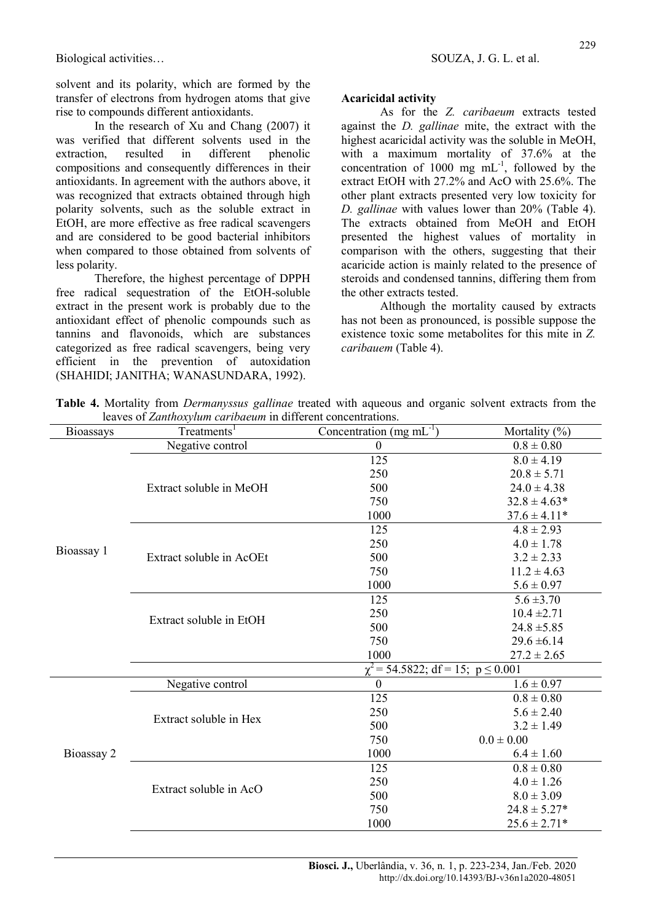solvent and its polarity, which are formed by the transfer of electrons from hydrogen atoms that give rise to compounds different antioxidants.

In the research of Xu and Chang (2007) it was verified that different solvents used in the extraction, resulted in different phenolic compositions and consequently differences in their antioxidants. In agreement with the authors above, it was recognized that extracts obtained through high polarity solvents, such as the soluble extract in EtOH, are more effective as free radical scavengers and are considered to be good bacterial inhibitors when compared to those obtained from solvents of less polarity.

Therefore, the highest percentage of DPPH free radical sequestration of the EtOH-soluble extract in the present work is probably due to the antioxidant effect of phenolic compounds such as tannins and flavonoids, which are substances categorized as free radical scavengers, being very efficient in the prevention of autoxidation (SHAHIDI; JANITHA; WANASUNDARA, 1992).

#### Acaricidal activity

As for the Z. caribaeum extracts tested against the D. gallinae mite, the extract with the highest acaricidal activity was the soluble in MeOH, with a maximum mortality of 37.6% at the concentration of  $1000 \text{ mg } \text{mL}^{-1}$ , followed by the extract EtOH with 27.2% and AcO with 25.6%. The other plant extracts presented very low toxicity for D. gallinae with values lower than 20% (Table 4). The extracts obtained from MeOH and EtOH presented the highest values of mortality in comparison with the others, suggesting that their acaricide action is mainly related to the presence of steroids and condensed tannins, differing them from the other extracts tested.

Although the mortality caused by extracts has not been as pronounced, is possible suppose the existence toxic some metabolites for this mite in Z. caribauem (Table 4).

Table 4. Mortality from *Dermanyssus gallinae* treated with aqueous and organic solvent extracts from the leaves of Zanthoxylum caribaeum in different concentrations.

| Bioassays  | Treatments <sup>1</sup>  | Concentration (mg mL $^{-1}$ )              | Mortality $(\%)$ |  |  |
|------------|--------------------------|---------------------------------------------|------------------|--|--|
|            | Negative control         | $\boldsymbol{0}$                            | $0.8 \pm 0.80$   |  |  |
| Bioassay 1 |                          | 125                                         | $8.0 \pm 4.19$   |  |  |
|            |                          | 250                                         | $20.8 \pm 5.71$  |  |  |
|            | Extract soluble in MeOH  | 500                                         | $24.0 \pm 4.38$  |  |  |
|            |                          | 750                                         | $32.8 \pm 4.63*$ |  |  |
|            |                          | 1000                                        | $37.6 \pm 4.11*$ |  |  |
|            |                          | 125                                         | $4.8 \pm 2.93$   |  |  |
|            |                          | 250                                         | $4.0 \pm 1.78$   |  |  |
|            | Extract soluble in AcOEt | 500                                         | $3.2 \pm 2.33$   |  |  |
|            |                          | 750                                         | $11.2 \pm 4.63$  |  |  |
|            |                          | 1000                                        | $5.6 \pm 0.97$   |  |  |
|            |                          | 125                                         | $5.6 \pm 3.70$   |  |  |
|            | Extract soluble in EtOH  | 250                                         | $10.4 \pm 2.71$  |  |  |
|            |                          | 500                                         | $24.8 \pm 5.85$  |  |  |
|            |                          | 750                                         | $29.6 \pm 6.14$  |  |  |
|            |                          | 1000                                        | $27.2 \pm 2.65$  |  |  |
|            |                          | $\chi^2$ = 54.5822; df = 15; p $\leq$ 0.001 |                  |  |  |
| Bioassay 2 | Negative control         | $\boldsymbol{0}$                            | $1.6 \pm 0.97$   |  |  |
|            |                          | 125                                         | $0.8 \pm 0.80$   |  |  |
|            | Extract soluble in Hex   | 250                                         | $5.6 \pm 2.40$   |  |  |
|            |                          | 500                                         | $3.2 \pm 1.49$   |  |  |
|            |                          | 750                                         | $0.0 \pm 0.00$   |  |  |
|            |                          | 1000                                        | $6.4 \pm 1.60$   |  |  |
|            |                          | 125                                         | $0.8 \pm 0.80$   |  |  |
|            | Extract soluble in AcO   | 250                                         | $4.0 \pm 1.26$   |  |  |
|            |                          | 500                                         | $8.0 \pm 3.09$   |  |  |
|            |                          | 750                                         | $24.8 \pm 5.27*$ |  |  |
|            |                          | 1000                                        | $25.6 \pm 2.71*$ |  |  |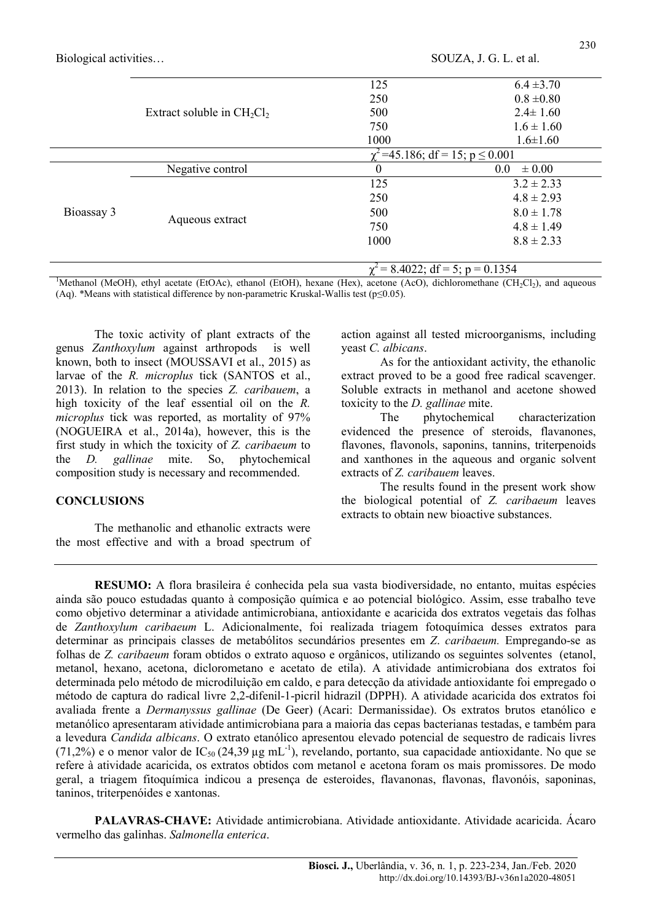|                             | 125                                       | $6.4 \pm 3.70$        |  |  |
|-----------------------------|-------------------------------------------|-----------------------|--|--|
|                             | 250                                       | $0.8 \pm 0.80$        |  |  |
| Extract soluble in $CH2Cl2$ | 500                                       | $2.4 \pm 1.60$        |  |  |
|                             | 750                                       | $1.6 \pm 1.60$        |  |  |
|                             | 1000                                      | $1.6 \pm 1.60$        |  |  |
|                             | $\chi^2$ =45.186; df = 15; p $\leq$ 0.001 |                       |  |  |
| Negative control            | $\theta$                                  | $0.0\,$<br>$\pm 0.00$ |  |  |
|                             | 125                                       | $3.2 \pm 2.33$        |  |  |
| Aqueous extract             | 250                                       | $4.8 \pm 2.93$        |  |  |
|                             | 500                                       | $8.0 \pm 1.78$        |  |  |
|                             | 750                                       | $4.8 \pm 1.49$        |  |  |
|                             | 1000                                      | $8.8 \pm 2.33$        |  |  |
|                             |                                           |                       |  |  |
|                             |                                           |                       |  |  |

 $\chi^2$  = 8.4022; df = 5; p = 0.1354

<sup>1</sup>Methanol (MeOH), ethyl acetate (EtOAc), ethanol (EtOH), hexane (Hex), acetone (AcO), dichloromethane (CH<sub>2</sub>Cl<sub>2</sub>), and aqueous (Aq). \*Means with statistical difference by non-parametric Kruskal-Wallis test ( $p \le 0.05$ ).

The toxic activity of plant extracts of the genus Zanthoxylum against arthropods is well known, both to insect (MOUSSAVI et al., 2015) as larvae of the R. microplus tick (SANTOS et al., 2013). In relation to the species Z. caribauem, a high toxicity of the leaf essential oil on the R. microplus tick was reported, as mortality of 97% (NOGUEIRA et al., 2014a), however, this is the first study in which the toxicity of Z. caribaeum to the D. gallinae mite. So, phytochemical composition study is necessary and recommended.

#### **CONCLUSIONS**

The methanolic and ethanolic extracts were the most effective and with a broad spectrum of action against all tested microorganisms, including yeast C. albicans.

As for the antioxidant activity, the ethanolic extract proved to be a good free radical scavenger. Soluble extracts in methanol and acetone showed toxicity to the D. gallinae mite.

The phytochemical characterization evidenced the presence of steroids, flavanones, flavones, flavonols, saponins, tannins, triterpenoids and xanthones in the aqueous and organic solvent extracts of Z. caribauem leaves.

The results found in the present work show the biological potential of Z. caribaeum leaves extracts to obtain new bioactive substances.

RESUMO: A flora brasileira é conhecida pela sua vasta biodiversidade, no entanto, muitas espécies ainda são pouco estudadas quanto à composição química e ao potencial biológico. Assim, esse trabalho teve como objetivo determinar a atividade antimicrobiana, antioxidante e acaricida dos extratos vegetais das folhas de Zanthoxylum caribaeum L. Adicionalmente, foi realizada triagem fotoquímica desses extratos para determinar as principais classes de metabólitos secundários presentes em Z. caribaeum. Empregando-se as folhas de Z. caribaeum foram obtidos o extrato aquoso e orgânicos, utilizando os seguintes solventes (etanol, metanol, hexano, acetona, diclorometano e acetato de etila). A atividade antimicrobiana dos extratos foi determinada pelo método de microdiluição em caldo, e para detecção da atividade antioxidante foi empregado o método de captura do radical livre 2,2-difenil-1-picril hidrazil (DPPH). A atividade acaricida dos extratos foi avaliada frente a Dermanyssus gallinae (De Geer) (Acari: Dermanissidae). Os extratos brutos etanólico e metanólico apresentaram atividade antimicrobiana para a maioria das cepas bacterianas testadas, e também para a levedura Candida albicans. O extrato etanólico apresentou elevado potencial de sequestro de radicais livres (71,2%) e o menor valor de  $IC_{50}$  (24,39 µg mL<sup>-1</sup>), revelando, portanto, sua capacidade antioxidante. No que se refere à atividade acaricida, os extratos obtidos com metanol e acetona foram os mais promissores. De modo geral, a triagem fitoquímica indicou a presença de esteroides, flavanonas, flavonas, flavonóis, saponinas, taninos, triterpenóides e xantonas.

PALAVRAS-CHAVE: Atividade antimicrobiana. Atividade antioxidante. Atividade acaricida. Ácaro vermelho das galinhas. Salmonella enterica.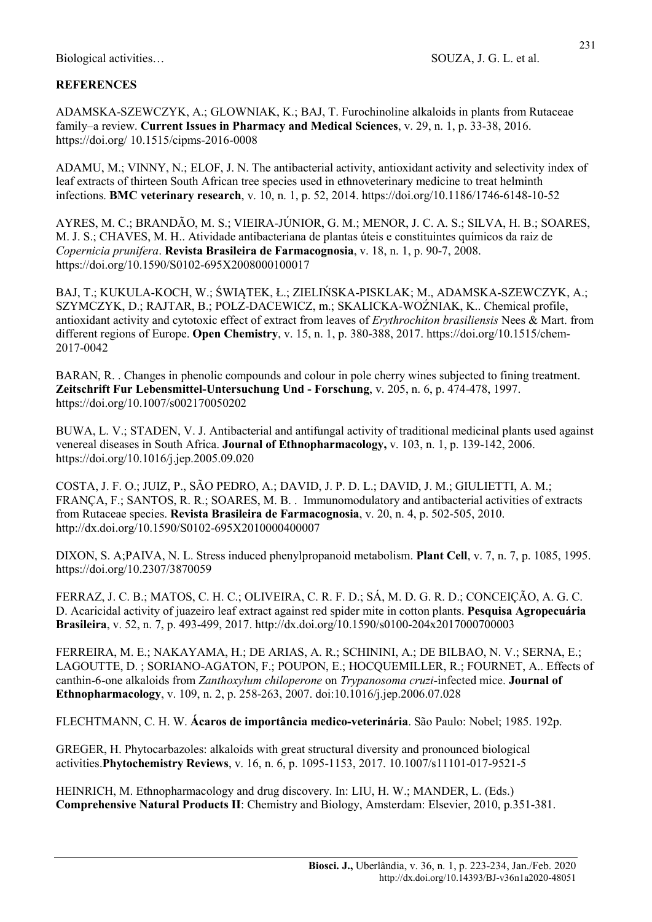## **REFERENCES**

ADAMSKA-SZEWCZYK, A.; GLOWNIAK, K.; BAJ, T. Furochinoline alkaloids in plants from Rutaceae family–a review. Current Issues in Pharmacy and Medical Sciences, v. 29, n. 1, p. 33-38, 2016. https://doi.org/ 10.1515/cipms-2016-0008

ADAMU, M.; VINNY, N.; ELOF, J. N. The antibacterial activity, antioxidant activity and selectivity index of leaf extracts of thirteen South African tree species used in ethnoveterinary medicine to treat helminth infections. BMC veterinary research, v. 10, n. 1, p. 52, 2014. https://doi.org/10.1186/1746-6148-10-52

AYRES, M. C.; BRANDÃO, M. S.; VIEIRA-JÚNIOR, G. M.; MENOR, J. C. A. S.; SILVA, H. B.; SOARES, M. J. S.; CHAVES, M. H.. Atividade antibacteriana de plantas úteis e constituintes químicos da raiz de Copernicia prunifera. Revista Brasileira de Farmacognosia, v. 18, n. 1, p. 90-7, 2008. https://doi.org/10.1590/S0102-695X2008000100017

BAJ, T.; KUKULA-KOCH, W.; ŚWIĄTEK, Ł.; ZIELIŃSKA-PISKLAK; M., ADAMSKA-SZEWCZYK, A.; SZYMCZYK, D.; RAJTAR, B.; POLZ-DACEWICZ, m.; SKALICKA-WOŹNIAK, K.. Chemical profile, antioxidant activity and cytotoxic effect of extract from leaves of Erythrochiton brasiliensis Nees & Mart. from different regions of Europe. Open Chemistry, v. 15, n. 1, p. 380-388, 2017. https://doi.org/10.1515/chem-2017-0042

BARAN, R. . Changes in phenolic compounds and colour in pole cherry wines subjected to fining treatment. Zeitschrift Fur Lebensmittel-Untersuchung Und - Forschung, v. 205, n. 6, p. 474-478, 1997. https://doi.org/10.1007/s002170050202

BUWA, L. V.; STADEN, V. J. Antibacterial and antifungal activity of traditional medicinal plants used against venereal diseases in South Africa. Journal of Ethnopharmacology, v. 103, n. 1, p. 139-142, 2006. https://doi.org/10.1016/j.jep.2005.09.020

COSTA, J. F. O.; JUIZ, P., SÃO PEDRO, A.; DAVID, J. P. D. L.; DAVID, J. M.; GIULIETTI, A. M.; FRANÇA, F.; SANTOS, R. R.; SOARES, M. B. . Immunomodulatory and antibacterial activities of extracts from Rutaceae species. Revista Brasileira de Farmacognosia, v. 20, n. 4, p. 502-505, 2010. http://dx.doi.org/10.1590/S0102-695X2010000400007

DIXON, S. A;PAIVA, N. L. Stress induced phenylpropanoid metabolism. Plant Cell, v. 7, n. 7, p. 1085, 1995. https://doi.org/10.2307/3870059

FERRAZ, J. C. B.; MATOS, C. H. C.; OLIVEIRA, C. R. F. D.; SÁ, M. D. G. R. D.; CONCEIÇÃO, A. G. C. D. Acaricidal activity of juazeiro leaf extract against red spider mite in cotton plants. Pesquisa Agropecuária Brasileira, v. 52, n. 7, p. 493-499, 2017. http://dx.doi.org/10.1590/s0100-204x2017000700003

FERREIRA, M. E.; NAKAYAMA, H.; DE ARIAS, A. R.; SCHININI, A.; DE BILBAO, N. V.; SERNA, E.; LAGOUTTE, D. ; SORIANO-AGATON, F.; POUPON, E.; HOCQUEMILLER, R.; FOURNET, A.. Effects of canthin-6-one alkaloids from Zanthoxylum chiloperone on Trypanosoma cruzi-infected mice. Journal of Ethnopharmacology, v. 109, n. 2, p. 258-263, 2007. doi:10.1016/j.jep.2006.07.028

FLECHTMANN, C. H. W. Ácaros de importância medico-veterinária. São Paulo: Nobel; 1985. 192p.

GREGER, H. Phytocarbazoles: alkaloids with great structural diversity and pronounced biological activities.Phytochemistry Reviews, v. 16, n. 6, p. 1095-1153, 2017. 10.1007/s11101-017-9521-5

HEINRICH, M. Ethnopharmacology and drug discovery. In: LIU, H. W.; MANDER, L. (Eds.) Comprehensive Natural Products II: Chemistry and Biology, Amsterdam: Elsevier, 2010, p.351-381.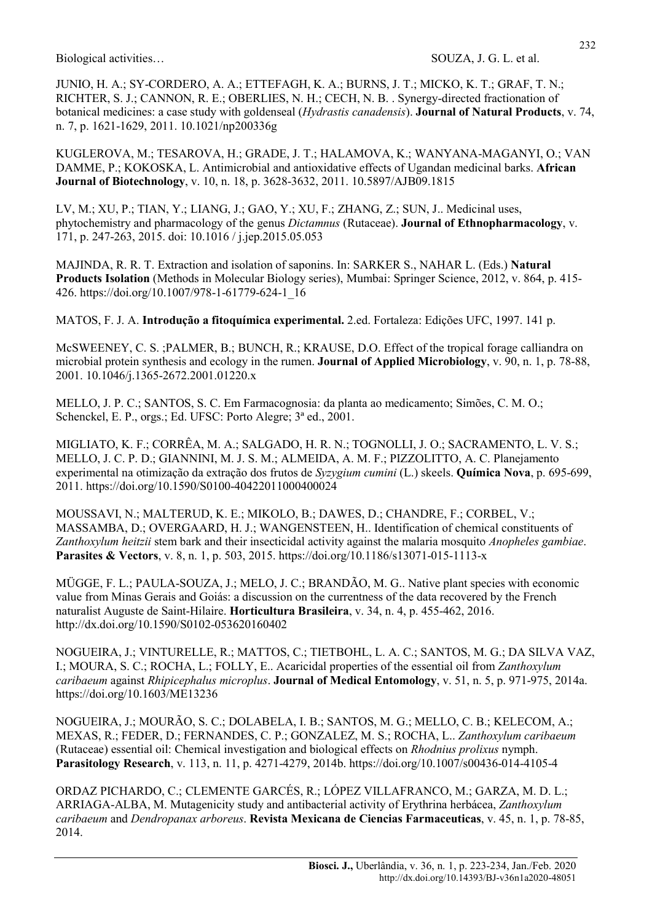JUNIO, H. A.; SY-CORDERO, A. A.; ETTEFAGH, K. A.; BURNS, J. T.; MICKO, K. T.; GRAF, T. N.; RICHTER, S. J.; CANNON, R. E.; OBERLIES, N. H.; CECH, N. B. . Synergy-directed fractionation of botanical medicines: a case study with goldenseal (Hydrastis canadensis). Journal of Natural Products, v. 74, n. 7, p. 1621-1629, 2011. 10.1021/np200336g

KUGLEROVA, M.; TESAROVA, H.; GRADE, J. T.; HALAMOVA, K.; WANYANA-MAGANYI, O.; VAN DAMME, P.; KOKOSKA, L. Antimicrobial and antioxidative effects of Ugandan medicinal barks. African Journal of Biotechnology, v. 10, n. 18, p. 3628-3632, 2011. 10.5897/AJB09.1815

LV, M.; XU, P.; TIAN, Y.; LIANG, J.; GAO, Y.; XU, F.; ZHANG, Z.; SUN, J.. Medicinal uses, phytochemistry and pharmacology of the genus Dictamnus (Rutaceae). Journal of Ethnopharmacology, v. 171, p. 247-263, 2015. doi: 10.1016 / j.jep.2015.05.053

MAJINDA, R. R. T. Extraction and isolation of saponins. In: SARKER S., NAHAR L. (Eds.) Natural Products Isolation (Methods in Molecular Biology series), Mumbai: Springer Science, 2012, v. 864, p. 415- 426. https://doi.org/10.1007/978-1-61779-624-1\_16

MATOS, F. J. A. Introdução a fitoquímica experimental. 2.ed. Fortaleza: Edições UFC, 1997. 141 p.

McSWEENEY, C. S. ;PALMER, B.; BUNCH, R.; KRAUSE, D.O. Effect of the tropical forage calliandra on microbial protein synthesis and ecology in the rumen. Journal of Applied Microbiology, v. 90, n. 1, p. 78-88, 2001. 10.1046/j.1365-2672.2001.01220.x

MELLO, J. P. C.; SANTOS, S. C. Em Farmacognosia: da planta ao medicamento; Simões, C. M. O.; Schenckel, E. P., orgs.; Ed. UFSC: Porto Alegre; 3ª ed., 2001.

MIGLIATO, K. F.; CORRÊA, M. A.; SALGADO, H. R. N.; TOGNOLLI, J. O.; SACRAMENTO, L. V. S.; MELLO, J. C. P. D.; GIANNINI, M. J. S. M.; ALMEIDA, A. M. F.; PIZZOLITTO, A. C. Planejamento experimental na otimização da extração dos frutos de Syzygium cumini (L.) skeels. Química Nova, p. 695-699, 2011. https://doi.org/10.1590/S0100-40422011000400024

MOUSSAVI, N.; MALTERUD, K. E.; MIKOLO, B.; DAWES, D.; CHANDRE, F.; CORBEL, V.; MASSAMBA, D.; OVERGAARD, H. J.; WANGENSTEEN, H.. Identification of chemical constituents of Zanthoxylum heitzii stem bark and their insecticidal activity against the malaria mosquito Anopheles gambiae. Parasites & Vectors, v. 8, n. 1, p. 503, 2015. https://doi.org/10.1186/s13071-015-1113-x

MÜGGE, F. L.; PAULA-SOUZA, J.; MELO, J. C.; BRANDÃO, M. G.. Native plant species with economic value from Minas Gerais and Goiás: a discussion on the currentness of the data recovered by the French naturalist Auguste de Saint-Hilaire. Horticultura Brasileira, v. 34, n. 4, p. 455-462, 2016. http://dx.doi.org/10.1590/S0102-053620160402

NOGUEIRA, J.; VINTURELLE, R.; MATTOS, C.; TIETBOHL, L. A. C.; SANTOS, M. G.; DA SILVA VAZ, I.; MOURA, S. C.; ROCHA, L.; FOLLY, E.. Acaricidal properties of the essential oil from Zanthoxylum caribaeum against Rhipicephalus microplus. Journal of Medical Entomology, v. 51, n. 5, p. 971-975, 2014a. https://doi.org/10.1603/ME13236

NOGUEIRA, J.; MOURÃO, S. C.; DOLABELA, I. B.; SANTOS, M. G.; MELLO, C. B.; KELECOM, A.; MEXAS, R.; FEDER, D.; FERNANDES, C. P.; GONZALEZ, M. S.; ROCHA, L.. Zanthoxylum caribaeum (Rutaceae) essential oil: Chemical investigation and biological effects on Rhodnius prolixus nymph. Parasitology Research, v. 113, n. 11, p. 4271-4279, 2014b. https://doi.org/10.1007/s00436-014-4105-4

ORDAZ PICHARDO, C.; CLEMENTE GARCÉS, R.; LÓPEZ VILLAFRANCO, M.; GARZA, M. D. L.; ARRIAGA-ALBA, M. Mutagenicity study and antibacterial activity of Erythrina herbácea, Zanthoxylum caribaeum and Dendropanax arboreus. Revista Mexicana de Ciencias Farmaceuticas, v. 45, n. 1, p. 78-85, 2014.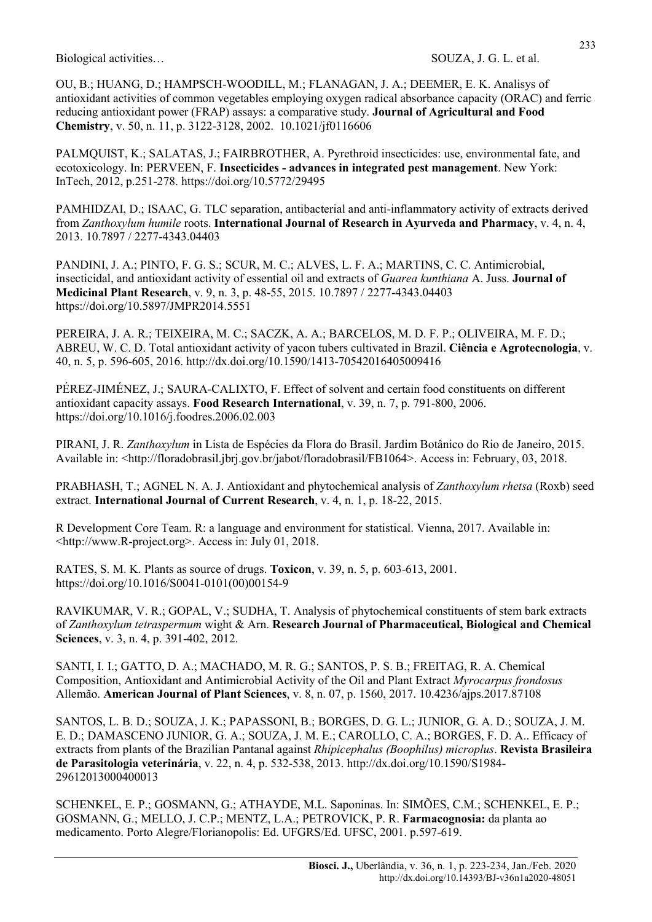Biological activities… SOUZA, J. G. L. et al.

OU, B.; HUANG, D.; HAMPSCH-WOODILL, M.; FLANAGAN, J. A.; DEEMER, E. K. Analisys of antioxidant activities of common vegetables employing oxygen radical absorbance capacity (ORAC) and ferric reducing antioxidant power (FRAP) assays: a comparative study. Journal of Agricultural and Food Chemistry, v. 50, n. 11, p. 3122-3128, 2002. 10.1021/jf0116606

PALMQUIST, K.; SALATAS, J.; FAIRBROTHER, A. Pyrethroid insecticides: use, environmental fate, and ecotoxicology. In: PERVEEN, F. Insecticides - advances in integrated pest management. New York: InTech, 2012, p.251-278. https://doi.org/10.5772/29495

PAMHIDZAI, D.; ISAAC, G. TLC separation, antibacterial and anti-inflammatory activity of extracts derived from Zanthoxylum humile roots. International Journal of Research in Ayurveda and Pharmacy, v. 4, n. 4, 2013. 10.7897 / 2277-4343.04403

PANDINI, J. A.; PINTO, F. G. S.; SCUR, M. C.; ALVES, L. F. A.; MARTINS, C. C. Antimicrobial, insecticidal, and antioxidant activity of essential oil and extracts of Guarea kunthiana A. Juss. Journal of Medicinal Plant Research, v. 9, n. 3, p. 48-55, 2015. 10.7897 / 2277-4343.04403 https://doi.org/10.5897/JMPR2014.5551

PEREIRA, J. A. R.; TEIXEIRA, M. C.; SACZK, A. A.; BARCELOS, M. D. F. P.; OLIVEIRA, M. F. D.; ABREU, W. C. D. Total antioxidant activity of yacon tubers cultivated in Brazil. Ciência e Agrotecnologia, v. 40, n. 5, p. 596-605, 2016. http://dx.doi.org/10.1590/1413-70542016405009416

PÉREZ-JIMÉNEZ, J.; SAURA-CALIXTO, F. Effect of solvent and certain food constituents on different antioxidant capacity assays. Food Research International, v. 39, n. 7, p. 791-800, 2006. https://doi.org/10.1016/j.foodres.2006.02.003

PIRANI, J. R. Zanthoxylum in Lista de Espécies da Flora do Brasil. Jardim Botânico do Rio de Janeiro, 2015. Available in: <http://floradobrasil.jbrj.gov.br/jabot/floradobrasil/FB1064>. Access in: February, 03, 2018.

PRABHASH, T.; AGNEL N. A. J. Antioxidant and phytochemical analysis of Zanthoxylum rhetsa (Roxb) seed extract. International Journal of Current Research, v. 4, n. 1, p. 18-22, 2015.

R Development Core Team. R: a language and environment for statistical. Vienna, 2017. Available in: <http://www.R-project.org>. Access in: July 01, 2018.

RATES, S. M. K. Plants as source of drugs. Toxicon, v. 39, n. 5, p. 603-613, 2001. https://doi.org/10.1016/S0041-0101(00)00154-9

RAVIKUMAR, V. R.; GOPAL, V.; SUDHA, T. Analysis of phytochemical constituents of stem bark extracts of Zanthoxylum tetraspermum wight & Arn. Research Journal of Pharmaceutical, Biological and Chemical Sciences, v. 3, n. 4, p. 391-402, 2012.

SANTI, I. I.; GATTO, D. A.; MACHADO, M. R. G.; SANTOS, P. S. B.; FREITAG, R. A. Chemical Composition, Antioxidant and Antimicrobial Activity of the Oil and Plant Extract Myrocarpus frondosus Allemão. American Journal of Plant Sciences, v. 8, n. 07, p. 1560, 2017. 10.4236/ajps.2017.87108

SANTOS, L. B. D.; SOUZA, J. K.; PAPASSONI, B.; BORGES, D. G. L.; JUNIOR, G. A. D.; SOUZA, J. M. E. D.; DAMASCENO JUNIOR, G. A.; SOUZA, J. M. E.; CAROLLO, C. A.; BORGES, F. D. A.. Efficacy of extracts from plants of the Brazilian Pantanal against *Rhipicephalus (Boophilus) microplus*. Revista Brasileira de Parasitologia veterinária, v. 22, n. 4, p. 532-538, 2013. http://dx.doi.org/10.1590/S1984- 29612013000400013

SCHENKEL, E. P.; GOSMANN, G.; ATHAYDE, M.L. Saponinas. In: SIMÕES, C.M.; SCHENKEL, E. P.; GOSMANN, G.; MELLO, J. C.P.; MENTZ, L.A.; PETROVICK, P. R. Farmacognosia: da planta ao medicamento. Porto Alegre/Florianopolis: Ed. UFGRS/Ed. UFSC, 2001. p.597-619.